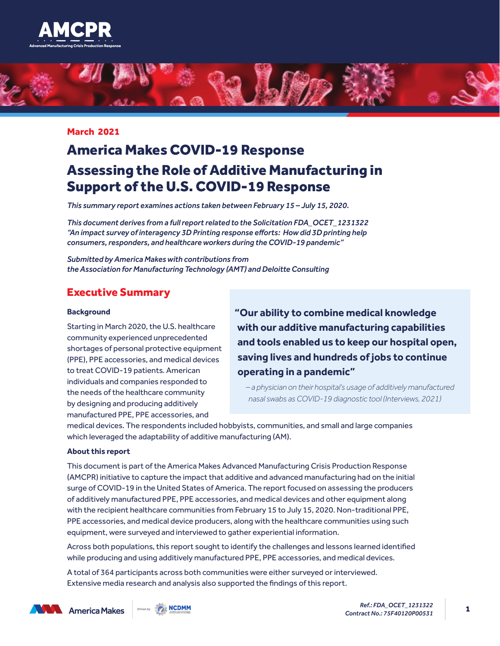



#### March 2021

# America Makes COVID-19 Response Assessing the Role of Additive Manufacturing in Support of the U.S. COVID-19 Response

*This summary report examines actions taken between February 15 – July 15, 2020.*

*This document derives from a full report related to the Solicitation FDA\_OCET\_1231322 "An impact survey of interagency 3D Printing response efforts: How did 3D printing help consumers, responders, and healthcare workers during the COVID-19 pandemic"*

*Submitted by America Makes with contributions from the Association for Manufacturing Technology (AMT) and Deloitte Consulting*

### Executive Summary

#### **Background**

Starting in March 2020, the U.S. healthcare community experienced unprecedented shortages of personal protective equipment (PPE), PPE accessories, and medical devices to treat COVID-19 patients. American individuals and companies responded to the needs of the healthcare community by designing and producing additively manufactured PPE, PPE accessories, and

**"Our ability to combine medical knowledge with our additive manufacturing capabilities and tools enabled us to keep our hospital open, saving lives and hundreds of jobs to continue operating in a pandemic"**

*– a physician on their hospital's usage of additively manufactured nasal swabs as COVID-19 diagnostic tool (Interviews, 2021)*

medical devices. The respondents included hobbyists, communities, and small and large companies which leveraged the adaptability of additive manufacturing (AM).

#### **About this report**

This document is part of the America Makes Advanced Manufacturing Crisis Production Response (AMCPR) initiative to capture the impact that additive and advanced manufacturing had on the initial surge of COVID-19 in the United States of America. The report focused on assessing the producers of additively manufactured PPE, PPE accessories, and medical devices and other equipment along with the recipient healthcare communities from February 15 to July 15, 2020. Non-traditional PPE, PPE accessories, and medical device producers, along with the healthcare communities using such equipment, were surveyed and interviewed to gather experiential information.

Across both populations, this report sought to identify the challenges and lessons learned identified while producing and using additively manufactured PPE, PPE accessories, and medical devices.

A total of 364 participants across both communities were either surveyed or interviewed. Extensive media research and analysis also supported the findings of this report.



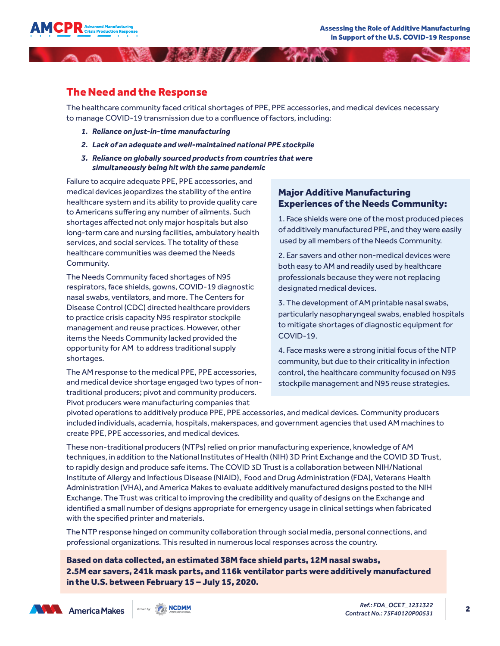

### The Need and the Response

The healthcare community faced critical shortages of PPE, PPE accessories, and medical devices necessary to manage COVID-19 transmission due to a confluence of factors, including:

- *1. Reliance on just-in-time manufacturing*
- *2. Lack of an adequate and well-maintained national PPE stockpile*

**ARRIVANCE AND ARRIVANCE** 

*3. Reliance on globally sourced products from countries that were simultaneously being hit with the same pandemic*

Failure to acquire adequate PPE, PPE accessories, and medical devices jeopardizes the stability of the entire healthcare system and its ability to provide quality care to Americans suffering any number of ailments. Such shortages affected not only major hospitals but also long-term care and nursing facilities, ambulatory health services, and social services. The totality of these healthcare communities was deemed the Needs Community.

The Needs Community faced shortages of N95 respirators, face shields, gowns, COVID-19 diagnostic nasal swabs, ventilators, and more. The Centers for Disease Control (CDC) directed healthcare providers to practice crisis capacity N95 respirator stockpile management and reuse practices. However, other items the Needs Community lacked provided the opportunity for AM to address traditional supply shortages.

The AM response to the medical PPE, PPE accessories, and medical device shortage engaged two types of nontraditional producers; pivot and community producers. Pivot producers were manufacturing companies that

#### Major Additive Manufacturing Experiences of the Needs Community:

1. Face shields were one of the most produced pieces of additively manufactured PPE, and they were easily used by all members of the Needs Community.

2. Ear savers and other non-medical devices were both easy to AM and readily used by healthcare professionals because they were not replacing designated medical devices.

3. The development of AM printable nasal swabs, particularly nasopharyngeal swabs, enabled hospitals to mitigate shortages of diagnostic equipment for COVID-19.

4. Face masks were a strong initial focus of the NTP community, but due to their criticality in infection control, the healthcare community focused on N95 stockpile management and N95 reuse strategies.

pivoted operations to additively produce PPE, PPE accessories, and medical devices. Community producers included individuals, academia, hospitals, makerspaces, and government agencies that used AM machines to create PPE, PPE accessories, and medical devices.

These non-traditional producers (NTPs) relied on prior manufacturing experience, knowledge of AM techniques, in addition to the National Institutes of Health (NIH) 3D Print Exchange and the COVID 3D Trust, to rapidly design and produce safe items. The COVID 3D Trust is a collaboration between NIH/National Institute of Allergy and Infectious Disease (NIAID), Food and Drug Administration (FDA), Veterans Health Administration (VHA), and America Makes to evaluate additively manufactured designs posted to the NIH Exchange. The Trust was critical to improving the credibility and quality of designs on the Exchange and identified a small number of designs appropriate for emergency usage in clinical settings when fabricated with the specified printer and materials.

The NTP response hinged on community collaboration through social media, personal connections, and professional organizations. This resulted in numerous local responses across the country.

Based on data collected, an estimated 38M face shield parts, 12M nasal swabs, 2.5M ear savers, 241k mask parts, and 116k ventilator parts were additively manufactured in the U.S. between February 15 – July 15, 2020.



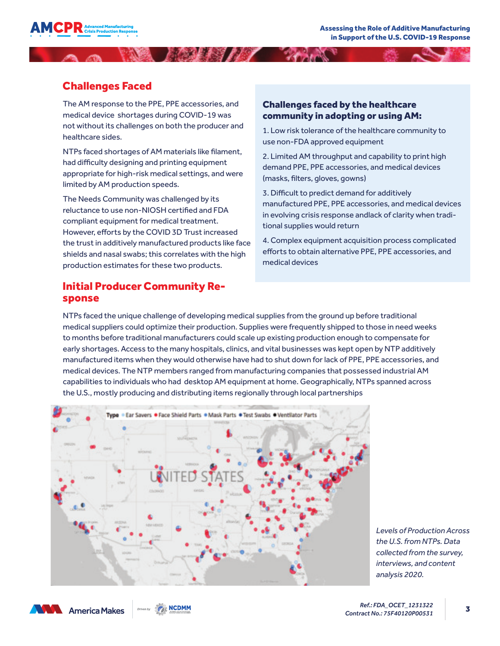

# Challenges Faced

The AM response to the PPE, PPE accessories, and medical device shortages during COVID-19 was not without its challenges on both the producer and healthcare sides.

NTPs faced shortages of AM materials like filament, had difficulty designing and printing equipment appropriate for high-risk medical settings, and were limited by AM production speeds.

The Needs Community was challenged by its reluctance to use non-NIOSH certified and FDA compliant equipment for medical treatment. However, efforts by the COVID 3D Trust increased the trust in additively manufactured products like face shields and nasal swabs; this correlates with the high production estimates for these two products.

# Initial Producer Community Response

#### Challenges faced by the healthcare community in adopting or using AM:

1. Low risk tolerance of the healthcare community to use non-FDA approved equipment

2. Limited AM throughput and capability to print high demand PPE, PPE accessories, and medical devices (masks, filters, gloves, gowns)

3. Difficult to predict demand for additively manufactured PPE, PPE accessories, and medical devices in evolving crisis response andlack of clarity when traditional supplies would return

4. Complex equipment acquisition process complicated efforts to obtain alternative PPE, PPE accessories, and medical devices

NTPs faced the unique challenge of developing medical supplies from the ground up before traditional medical suppliers could optimize their production. Supplies were frequently shipped to those in need weeks to months before traditional manufacturers could scale up existing production enough to compensate for early shortages. Access to the many hospitals, clinics, and vital businesses was kept open by NTP additively manufactured items when they would otherwise have had to shut down for lack of PPE, PPE accessories, and medical devices. The NTP members ranged from manufacturing companies that possessed industrial AM capabilities to individuals who had desktop AM equipment at home. Geographically, NTPs spanned across the U.S., mostly producing and distributing items regionally through local partnerships



*Levels of Production Across the U.S. from NTPs. Data collected from the survey, interviews, and content analysis 2020.*



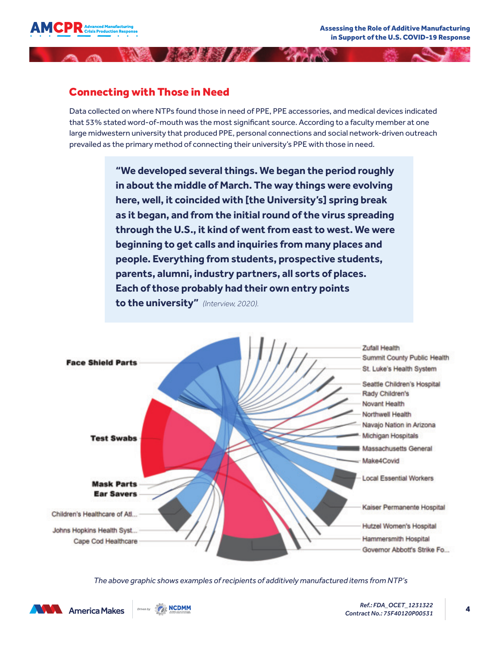

# Connecting with Those in Need

Data collected on where NTPs found those in need of PPE, PPE accessories, and medical devices indicated that 53% stated word-of-mouth was the most significant source. According to a faculty member at one large midwestern university that produced PPE, personal connections and social network-driven outreach prevailed as the primary method of connecting their university's PPE with those in need.

MARIE AND AND

**"We developed several things. We began the period roughly in about the middle of March. The way things were evolving here, well, it coincided with [the University's] spring break as it began, and from the initial round of the virus spreading through the U.S., it kind of went from east to west. We were beginning to get calls and inquiries from many places and people. Everything from students, prospective students, parents, alumni, industry partners, all sorts of places. Each of those probably had their own entry points to the university"** *(Interview, 2020).*



*The above graphic shows examples of recipients of additively manufactured items from NTP's*